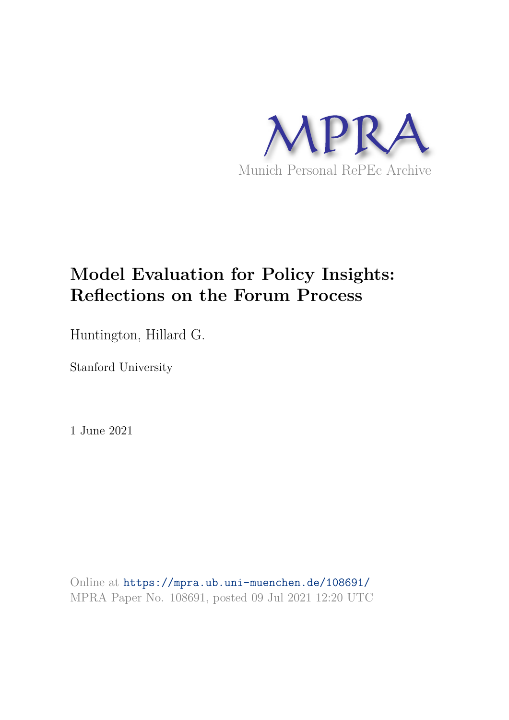

# **Model Evaluation for Policy Insights: Reflections on the Forum Process**

Huntington, Hillard G.

Stanford University

1 June 2021

Online at https://mpra.ub.uni-muenchen.de/108691/ MPRA Paper No. 108691, posted 09 Jul 2021 12:20 UTC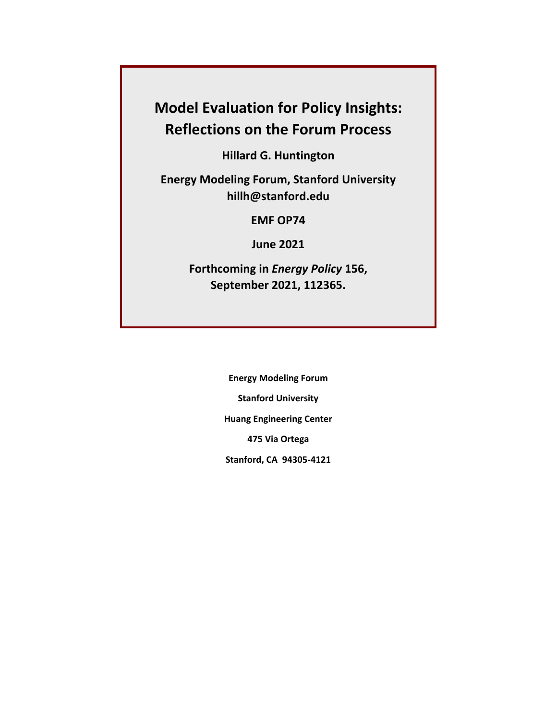## **Model Evaluation for Policy Insights: Reflections on the Forum Process**

**Hillard G. Huntington** 

**Energy Modeling Forum, Stanford University hillh@stanford.edu** 

**EMF OP74** 

**June 2021** 

**Forthcoming in** *Energy Policy* **156, September 2021, 112365.** 

> **Energy Modeling Forum Stanford University Huang Engineering Center 475 Via Ortega Stanford, CA 94305-4121**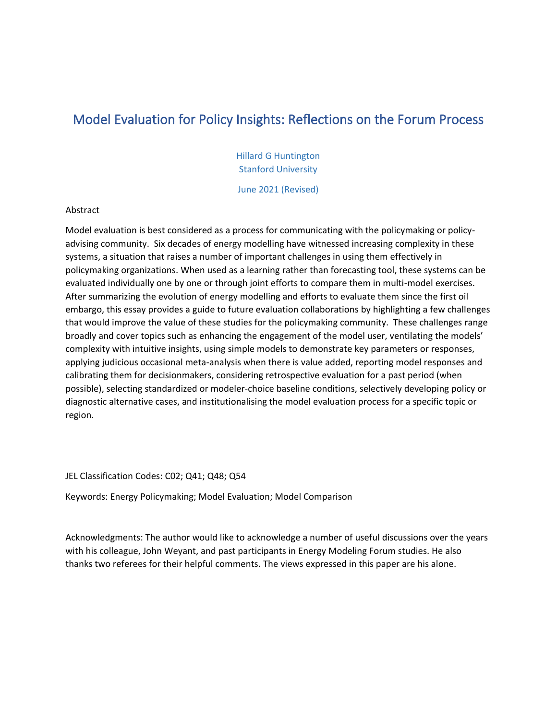## Model Evaluation for Policy Insights: Reflections on the Forum Process

Hillard G Huntington Stanford University

June 2021 (Revised)

#### Abstract

Model evaluation is best considered as a process for communicating with the policymaking or policyadvising community. Six decades of energy modelling have witnessed increasing complexity in these systems, a situation that raises a number of important challenges in using them effectively in policymaking organizations. When used as a learning rather than forecasting tool, these systems can be evaluated individually one by one or through joint efforts to compare them in multi-model exercises. After summarizing the evolution of energy modelling and efforts to evaluate them since the first oil embargo, this essay provides a guide to future evaluation collaborations by highlighting a few challenges that would improve the value of these studies for the policymaking community. These challenges range broadly and cover topics such as enhancing the engagement of the model user, ventilating the models' complexity with intuitive insights, using simple models to demonstrate key parameters or responses, applying judicious occasional meta-analysis when there is value added, reporting model responses and calibrating them for decisionmakers, considering retrospective evaluation for a past period (when possible), selecting standardized or modeler-choice baseline conditions, selectively developing policy or diagnostic alternative cases, and institutionalising the model evaluation process for a specific topic or region.

JEL Classification Codes: C02; Q41; Q48; Q54

Keywords: Energy Policymaking; Model Evaluation; Model Comparison

Acknowledgments: The author would like to acknowledge a number of useful discussions over the years with his colleague, John Weyant, and past participants in Energy Modeling Forum studies. He also thanks two referees for their helpful comments. The views expressed in this paper are his alone.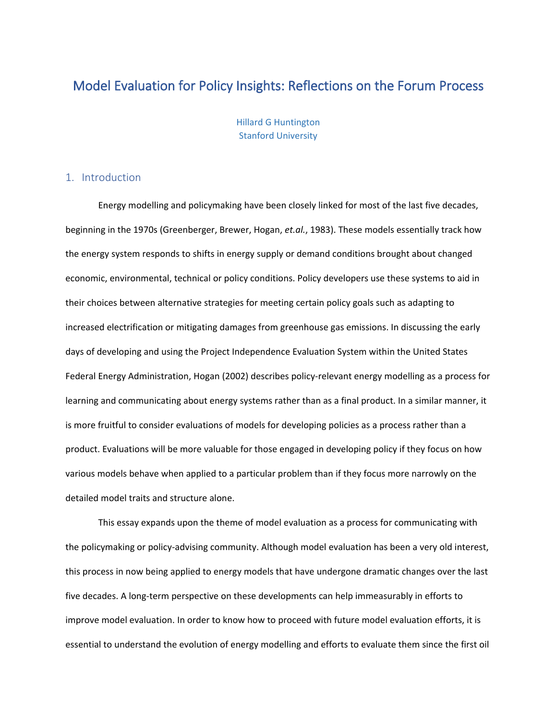### Model Evaluation for Policy Insights: Reflections on the Forum Process

Hillard G Huntington Stanford University

#### 1. Introduction

Energy modelling and policymaking have been closely linked for most of the last five decades, beginning in the 1970s (Greenberger, Brewer, Hogan, *et.al.*, 1983). These models essentially track how the energy system responds to shifts in energy supply or demand conditions brought about changed economic, environmental, technical or policy conditions. Policy developers use these systems to aid in their choices between alternative strategies for meeting certain policy goals such as adapting to increased electrification or mitigating damages from greenhouse gas emissions. In discussing the early days of developing and using the Project Independence Evaluation System within the United States Federal Energy Administration, Hogan (2002) describes policy-relevant energy modelling as a process for learning and communicating about energy systems rather than as a final product. In a similar manner, it is more fruitful to consider evaluations of models for developing policies as a process rather than a product. Evaluations will be more valuable for those engaged in developing policy if they focus on how various models behave when applied to a particular problem than if they focus more narrowly on the detailed model traits and structure alone.

This essay expands upon the theme of model evaluation as a process for communicating with the policymaking or policy-advising community. Although model evaluation has been a very old interest, this process in now being applied to energy models that have undergone dramatic changes over the last five decades. A long-term perspective on these developments can help immeasurably in efforts to improve model evaluation. In order to know how to proceed with future model evaluation efforts, it is essential to understand the evolution of energy modelling and efforts to evaluate them since the first oil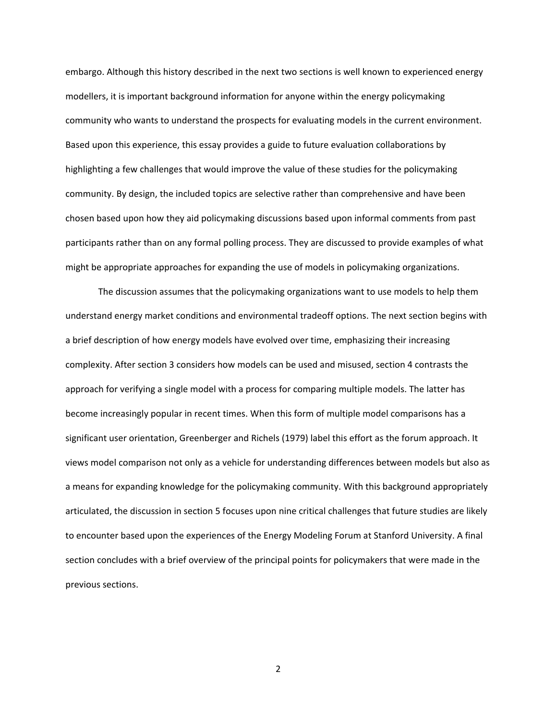embargo. Although this history described in the next two sections is well known to experienced energy modellers, it is important background information for anyone within the energy policymaking community who wants to understand the prospects for evaluating models in the current environment. Based upon this experience, this essay provides a guide to future evaluation collaborations by highlighting a few challenges that would improve the value of these studies for the policymaking community. By design, the included topics are selective rather than comprehensive and have been chosen based upon how they aid policymaking discussions based upon informal comments from past participants rather than on any formal polling process. They are discussed to provide examples of what might be appropriate approaches for expanding the use of models in policymaking organizations.

The discussion assumes that the policymaking organizations want to use models to help them understand energy market conditions and environmental tradeoff options. The next section begins with a brief description of how energy models have evolved over time, emphasizing their increasing complexity. After section 3 considers how models can be used and misused, section 4 contrasts the approach for verifying a single model with a process for comparing multiple models. The latter has become increasingly popular in recent times. When this form of multiple model comparisons has a significant user orientation, Greenberger and Richels (1979) label this effort as the forum approach. It views model comparison not only as a vehicle for understanding differences between models but also as a means for expanding knowledge for the policymaking community. With this background appropriately articulated, the discussion in section 5 focuses upon nine critical challenges that future studies are likely to encounter based upon the experiences of the Energy Modeling Forum at Stanford University. A final section concludes with a brief overview of the principal points for policymakers that were made in the previous sections.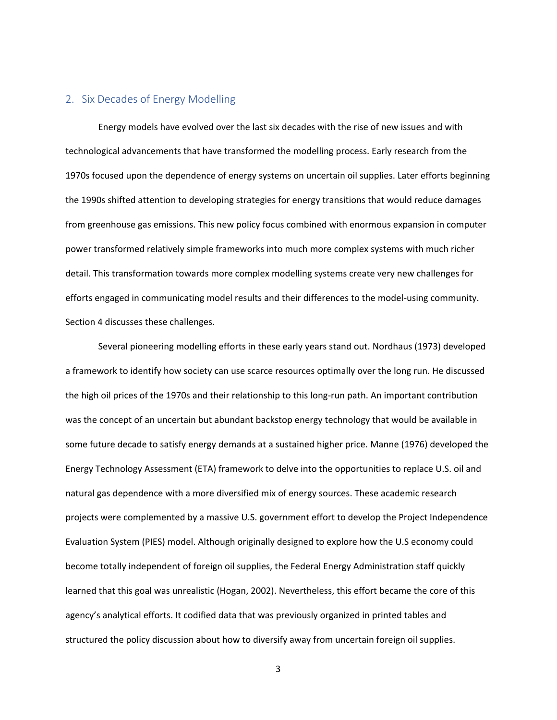#### 2. Six Decades of Energy Modelling

Energy models have evolved over the last six decades with the rise of new issues and with technological advancements that have transformed the modelling process. Early research from the 1970s focused upon the dependence of energy systems on uncertain oil supplies. Later efforts beginning the 1990s shifted attention to developing strategies for energy transitions that would reduce damages from greenhouse gas emissions. This new policy focus combined with enormous expansion in computer power transformed relatively simple frameworks into much more complex systems with much richer detail. This transformation towards more complex modelling systems create very new challenges for efforts engaged in communicating model results and their differences to the model-using community. Section 4 discusses these challenges.

Several pioneering modelling efforts in these early years stand out. Nordhaus (1973) developed a framework to identify how society can use scarce resources optimally over the long run. He discussed the high oil prices of the 1970s and their relationship to this long-run path. An important contribution was the concept of an uncertain but abundant backstop energy technology that would be available in some future decade to satisfy energy demands at a sustained higher price. Manne (1976) developed the Energy Technology Assessment (ETA) framework to delve into the opportunities to replace U.S. oil and natural gas dependence with a more diversified mix of energy sources. These academic research projects were complemented by a massive U.S. government effort to develop the Project Independence Evaluation System (PIES) model. Although originally designed to explore how the U.S economy could become totally independent of foreign oil supplies, the Federal Energy Administration staff quickly learned that this goal was unrealistic (Hogan, 2002). Nevertheless, this effort became the core of this agency's analytical efforts. It codified data that was previously organized in printed tables and structured the policy discussion about how to diversify away from uncertain foreign oil supplies.

<sup>3</sup>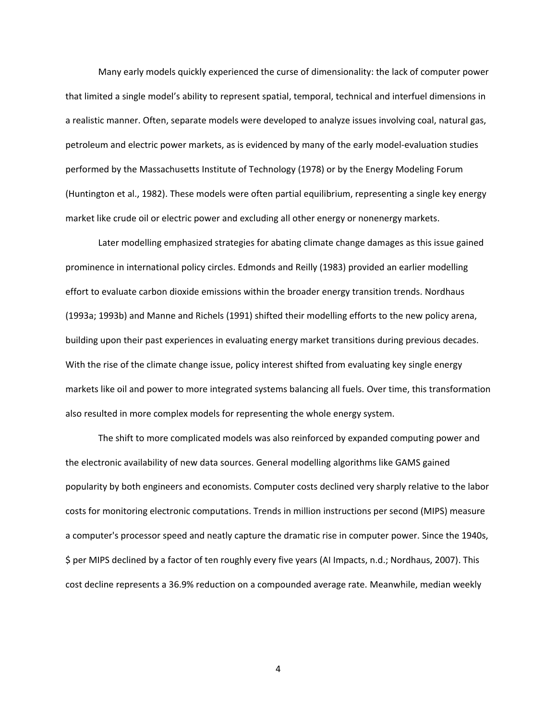Many early models quickly experienced the curse of dimensionality: the lack of computer power that limited a single model's ability to represent spatial, temporal, technical and interfuel dimensions in a realistic manner. Often, separate models were developed to analyze issues involving coal, natural gas, petroleum and electric power markets, as is evidenced by many of the early model-evaluation studies performed by the Massachusetts Institute of Technology (1978) or by the Energy Modeling Forum (Huntington et al., 1982). These models were often partial equilibrium, representing a single key energy market like crude oil or electric power and excluding all other energy or nonenergy markets.

Later modelling emphasized strategies for abating climate change damages as this issue gained prominence in international policy circles. Edmonds and Reilly (1983) provided an earlier modelling effort to evaluate carbon dioxide emissions within the broader energy transition trends. Nordhaus (1993a; 1993b) and Manne and Richels (1991) shifted their modelling efforts to the new policy arena, building upon their past experiences in evaluating energy market transitions during previous decades. With the rise of the climate change issue, policy interest shifted from evaluating key single energy markets like oil and power to more integrated systems balancing all fuels. Over time, this transformation also resulted in more complex models for representing the whole energy system.

The shift to more complicated models was also reinforced by expanded computing power and the electronic availability of new data sources. General modelling algorithms like GAMS gained popularity by both engineers and economists. Computer costs declined very sharply relative to the labor costs for monitoring electronic computations. Trends in million instructions per second (MIPS) measure a computer's processor speed and neatly capture the dramatic rise in computer power. Since the 1940s, \$ per MIPS declined by a factor of ten roughly every five years (AI Impacts, n.d.; Nordhaus, 2007). This cost decline represents a 36.9% reduction on a compounded average rate. Meanwhile, median weekly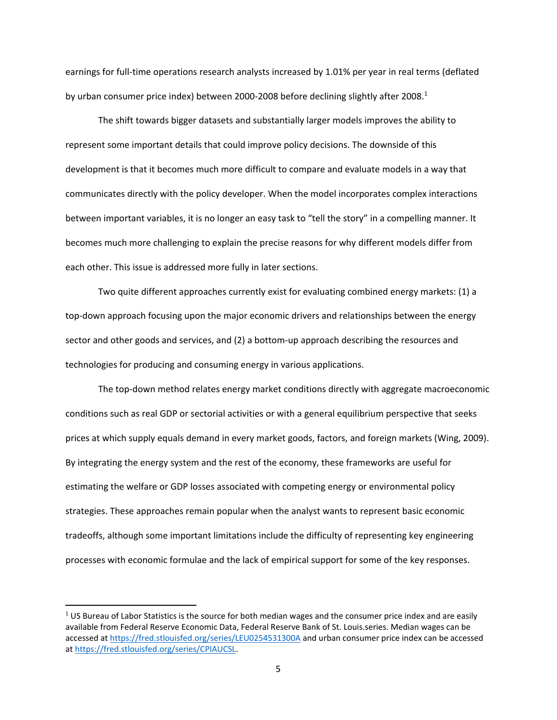earnings for full-time operations research analysts increased by 1.01% per year in real terms (deflated by urban consumer price index) between 2000-2008 before declining slightly after 2008.<sup>1</sup>

The shift towards bigger datasets and substantially larger models improves the ability to represent some important details that could improve policy decisions. The downside of this development is that it becomes much more difficult to compare and evaluate models in a way that communicates directly with the policy developer. When the model incorporates complex interactions between important variables, it is no longer an easy task to "tell the story" in a compelling manner. It becomes much more challenging to explain the precise reasons for why different models differ from each other. This issue is addressed more fully in later sections.

Two quite different approaches currently exist for evaluating combined energy markets: (1) a top-down approach focusing upon the major economic drivers and relationships between the energy sector and other goods and services, and (2) a bottom-up approach describing the resources and technologies for producing and consuming energy in various applications.

The top-down method relates energy market conditions directly with aggregate macroeconomic conditions such as real GDP or sectorial activities or with a general equilibrium perspective that seeks prices at which supply equals demand in every market goods, factors, and foreign markets (Wing, 2009). By integrating the energy system and the rest of the economy, these frameworks are useful for estimating the welfare or GDP losses associated with competing energy or environmental policy strategies. These approaches remain popular when the analyst wants to represent basic economic tradeoffs, although some important limitations include the difficulty of representing key engineering processes with economic formulae and the lack of empirical support for some of the key responses.

 $1$  US Bureau of Labor Statistics is the source for both median wages and the consumer price index and are easily available from Federal Reserve Economic Data, Federal Reserve Bank of St. Louis.series. Median wages can be accessed at [https://fred.stlouisfed.org/series/LEU0254531300A a](https://fred.stlouisfed.org/series/LEU0254531300A)nd urban consumer price index can be accessed at [https://fred.stlouisfed.org/series/CPIAUCSL.](https://fred.stlouisfed.org/series/CPIAUCSL)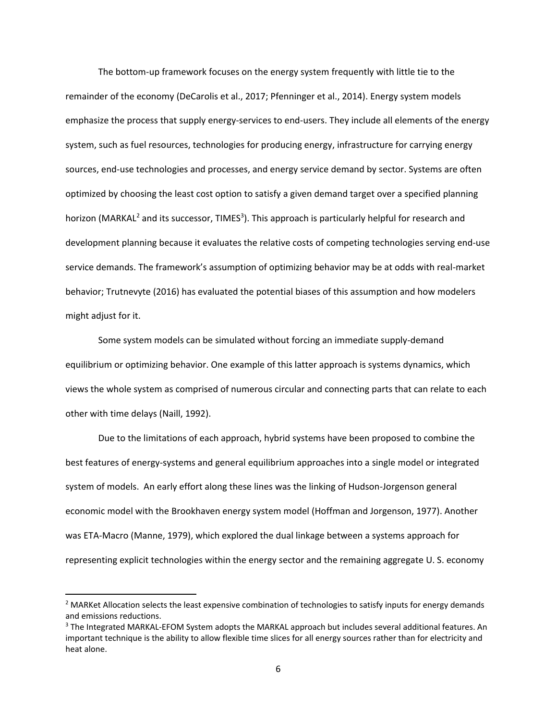The bottom-up framework focuses on the energy system frequently with little tie to the remainder of the economy (DeCarolis et al., 2017; Pfenninger et al., 2014). Energy system models emphasize the process that supply energy-services to end-users. They include all elements of the energy system, such as fuel resources, technologies for producing energy, infrastructure for carrying energy sources, end-use technologies and processes, and energy service demand by sector. Systems are often optimized by choosing the least cost option to satisfy a given demand target over a specified planning horizon (MARKAL<sup>2</sup> and its successor, TIMES<sup>3</sup>). This approach is particularly helpful for research and development planning because it evaluates the relative costs of competing technologies serving end-use service demands. The framework's assumption of optimizing behavior may be at odds with real-market behavior; Trutnevyte (2016) has evaluated the potential biases of this assumption and how modelers might adjust for it.

Some system models can be simulated without forcing an immediate supply-demand equilibrium or optimizing behavior. One example of this latter approach is systems dynamics, which views the whole system as comprised of numerous circular and connecting parts that can relate to each other with time delays (Naill, 1992).

Due to the limitations of each approach, hybrid systems have been proposed to combine the best features of energy-systems and general equilibrium approaches into a single model or integrated system of models. An early effort along these lines was the linking of Hudson-Jorgenson general economic model with the Brookhaven energy system model (Hoffman and Jorgenson, 1977). Another was ETA-Macro (Manne, 1979), which explored the dual linkage between a systems approach for representing explicit technologies within the energy sector and the remaining aggregate U. S. economy

<sup>&</sup>lt;sup>2</sup> MARKet Allocation selects the least expensive combination of technologies to satisfy inputs for energy demands and emissions reductions.

<sup>&</sup>lt;sup>3</sup> The Integrated MARKAL-EFOM System adopts the MARKAL approach but includes several additional features. An important technique is the ability to allow flexible time slices for all energy sources rather than for electricity and heat alone.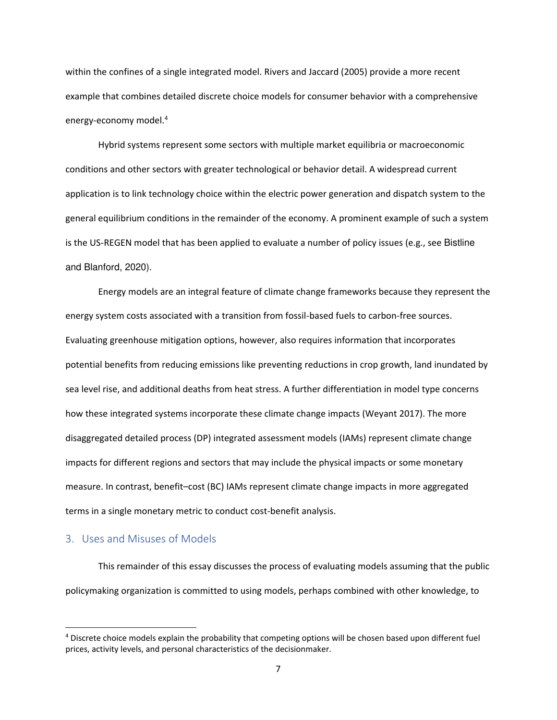within the confines of a single integrated model. Rivers and Jaccard (2005) provide a more recent example that combines detailed discrete choice models for consumer behavior with a comprehensive energy-economy model.<sup>4</sup>

Hybrid systems represent some sectors with multiple market equilibria or macroeconomic conditions and other sectors with greater technological or behavior detail. A widespread current application is to link technology choice within the electric power generation and dispatch system to the general equilibrium conditions in the remainder of the economy. A prominent example of such a system is the US-REGEN model that has been applied to evaluate a number of policy issues (e.g., see Bistline and Blanford, 2020).

Energy models are an integral feature of climate change frameworks because they represent the energy system costs associated with a transition from fossil-based fuels to carbon-free sources. Evaluating greenhouse mitigation options, however, also requires information that incorporates potential benefits from reducing emissions like preventing reductions in crop growth, land inundated by sea level rise, and additional deaths from heat stress. A further differentiation in model type concerns how these integrated systems incorporate these climate change impacts (Weyant 2017). The more disaggregated detailed process (DP) integrated assessment models (IAMs) represent climate change impacts for different regions and sectors that may include the physical impacts or some monetary measure. In contrast, benefit–cost (BC) IAMs represent climate change impacts in more aggregated terms in a single monetary metric to conduct cost-benefit analysis.

#### 3. Uses and Misuses of Models

This remainder of this essay discusses the process of evaluating models assuming that the public policymaking organization is committed to using models, perhaps combined with other knowledge, to

<sup>&</sup>lt;sup>4</sup> Discrete choice models explain the probability that competing options will be chosen based upon different fuel prices, activity levels, and personal characteristics of the decisionmaker.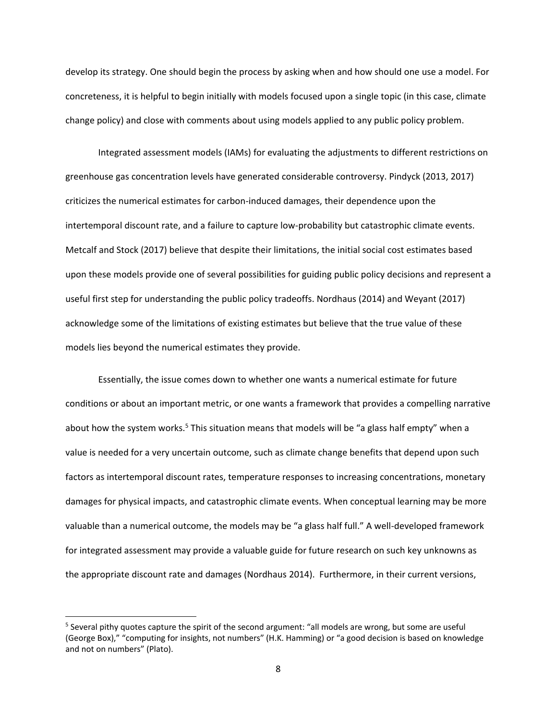develop its strategy. One should begin the process by asking when and how should one use a model. For concreteness, it is helpful to begin initially with models focused upon a single topic (in this case, climate change policy) and close with comments about using models applied to any public policy problem.

Integrated assessment models (IAMs) for evaluating the adjustments to different restrictions on greenhouse gas concentration levels have generated considerable controversy. Pindyck (2013, 2017) criticizes the numerical estimates for carbon-induced damages, their dependence upon the intertemporal discount rate, and a failure to capture low-probability but catastrophic climate events. Metcalf and Stock (2017) believe that despite their limitations, the initial social cost estimates based upon these models provide one of several possibilities for guiding public policy decisions and represent a useful first step for understanding the public policy tradeoffs. Nordhaus (2014) and Weyant (2017) acknowledge some of the limitations of existing estimates but believe that the true value of these models lies beyond the numerical estimates they provide.

Essentially, the issue comes down to whether one wants a numerical estimate for future conditions or about an important metric, or one wants a framework that provides a compelling narrative about how the system works.<sup>5</sup> This situation means that models will be "a glass half empty" when a value is needed for a very uncertain outcome, such as climate change benefits that depend upon such factors as intertemporal discount rates, temperature responses to increasing concentrations, monetary damages for physical impacts, and catastrophic climate events. When conceptual learning may be more valuable than a numerical outcome, the models may be "a glass half full." A well-developed framework for integrated assessment may provide a valuable guide for future research on such key unknowns as the appropriate discount rate and damages (Nordhaus 2014). Furthermore, in their current versions,

<sup>&</sup>lt;sup>5</sup> Several pithy quotes capture the spirit of the second argument: "all models are wrong, but some are useful (George Box)," "computing for insights, not numbers" (H.K. Hamming) or "a good decision is based on knowledge and not on numbers" (Plato).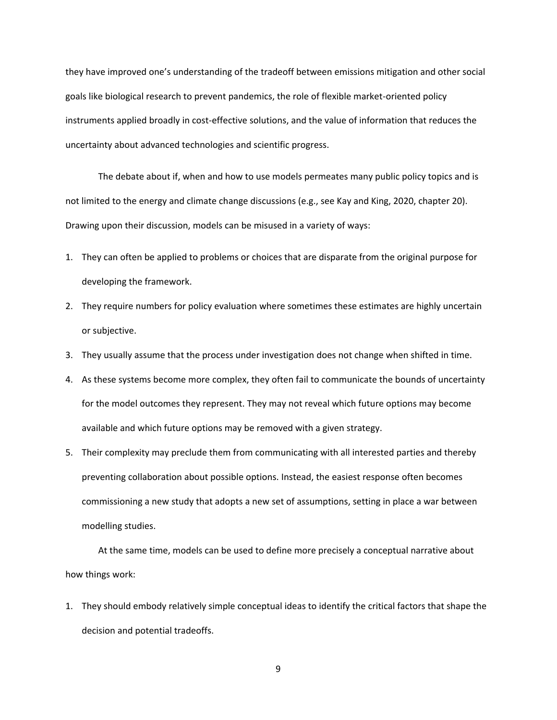they have improved one's understanding of the tradeoff between emissions mitigation and other social goals like biological research to prevent pandemics, the role of flexible market-oriented policy instruments applied broadly in cost-effective solutions, and the value of information that reduces the uncertainty about advanced technologies and scientific progress.

The debate about if, when and how to use models permeates many public policy topics and is not limited to the energy and climate change discussions (e.g., see Kay and King, 2020, chapter 20). Drawing upon their discussion, models can be misused in a variety of ways:

- 1. They can often be applied to problems or choices that are disparate from the original purpose for developing the framework.
- 2. They require numbers for policy evaluation where sometimes these estimates are highly uncertain or subjective.
- 3. They usually assume that the process under investigation does not change when shifted in time.
- 4. As these systems become more complex, they often fail to communicate the bounds of uncertainty for the model outcomes they represent. They may not reveal which future options may become available and which future options may be removed with a given strategy.
- 5. Their complexity may preclude them from communicating with all interested parties and thereby preventing collaboration about possible options. Instead, the easiest response often becomes commissioning a new study that adopts a new set of assumptions, setting in place a war between modelling studies.

At the same time, models can be used to define more precisely a conceptual narrative about how things work:

1. They should embody relatively simple conceptual ideas to identify the critical factors that shape the decision and potential tradeoffs.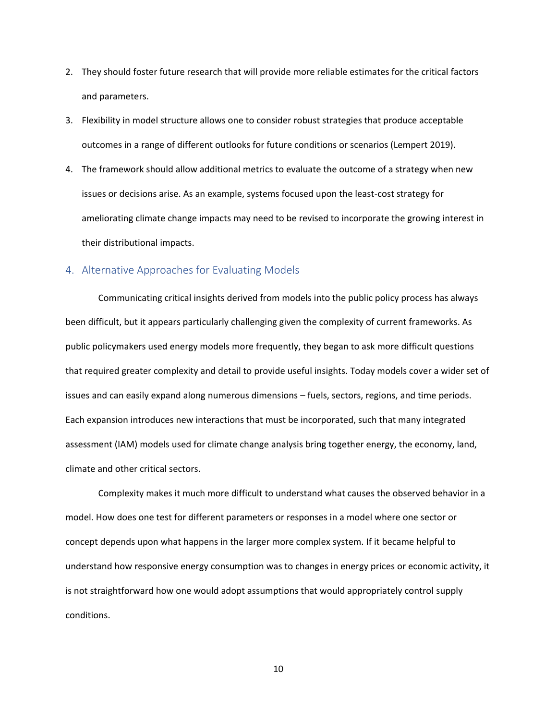- 2. They should foster future research that will provide more reliable estimates for the critical factors and parameters.
- 3. Flexibility in model structure allows one to consider robust strategies that produce acceptable outcomes in a range of different outlooks for future conditions or scenarios (Lempert 2019).
- 4. The framework should allow additional metrics to evaluate the outcome of a strategy when new issues or decisions arise. As an example, systems focused upon the least-cost strategy for ameliorating climate change impacts may need to be revised to incorporate the growing interest in their distributional impacts.

#### 4. Alternative Approaches for Evaluating Models

Communicating critical insights derived from models into the public policy process has always been difficult, but it appears particularly challenging given the complexity of current frameworks. As public policymakers used energy models more frequently, they began to ask more difficult questions that required greater complexity and detail to provide useful insights. Today models cover a wider set of issues and can easily expand along numerous dimensions – fuels, sectors, regions, and time periods. Each expansion introduces new interactions that must be incorporated, such that many integrated assessment (IAM) models used for climate change analysis bring together energy, the economy, land, climate and other critical sectors.

Complexity makes it much more difficult to understand what causes the observed behavior in a model. How does one test for different parameters or responses in a model where one sector or concept depends upon what happens in the larger more complex system. If it became helpful to understand how responsive energy consumption was to changes in energy prices or economic activity, it is not straightforward how one would adopt assumptions that would appropriately control supply conditions.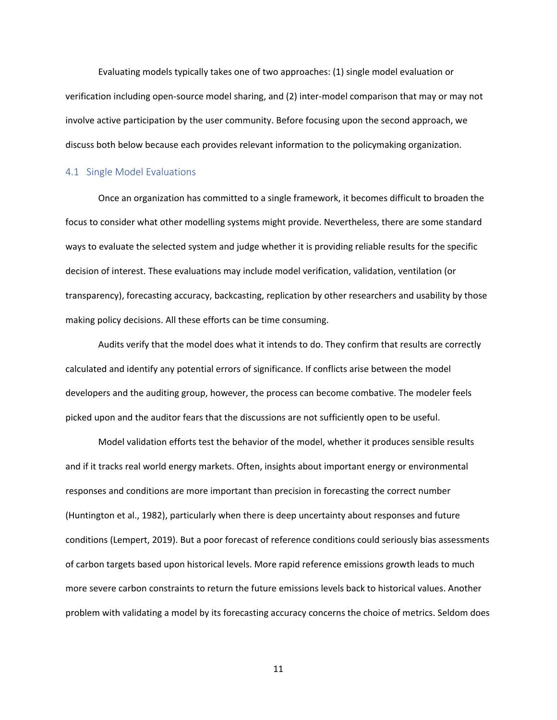Evaluating models typically takes one of two approaches: (1) single model evaluation or verification including open-source model sharing, and (2) inter-model comparison that may or may not involve active participation by the user community. Before focusing upon the second approach, we discuss both below because each provides relevant information to the policymaking organization.

#### 4.1 Single Model Evaluations

Once an organization has committed to a single framework, it becomes difficult to broaden the focus to consider what other modelling systems might provide. Nevertheless, there are some standard ways to evaluate the selected system and judge whether it is providing reliable results for the specific decision of interest. These evaluations may include model verification, validation, ventilation (or transparency), forecasting accuracy, backcasting, replication by other researchers and usability by those making policy decisions. All these efforts can be time consuming.

Audits verify that the model does what it intends to do. They confirm that results are correctly calculated and identify any potential errors of significance. If conflicts arise between the model developers and the auditing group, however, the process can become combative. The modeler feels picked upon and the auditor fears that the discussions are not sufficiently open to be useful.

Model validation efforts test the behavior of the model, whether it produces sensible results and if it tracks real world energy markets. Often, insights about important energy or environmental responses and conditions are more important than precision in forecasting the correct number (Huntington et al., 1982), particularly when there is deep uncertainty about responses and future conditions (Lempert, 2019). But a poor forecast of reference conditions could seriously bias assessments of carbon targets based upon historical levels. More rapid reference emissions growth leads to much more severe carbon constraints to return the future emissions levels back to historical values. Another problem with validating a model by its forecasting accuracy concerns the choice of metrics. Seldom does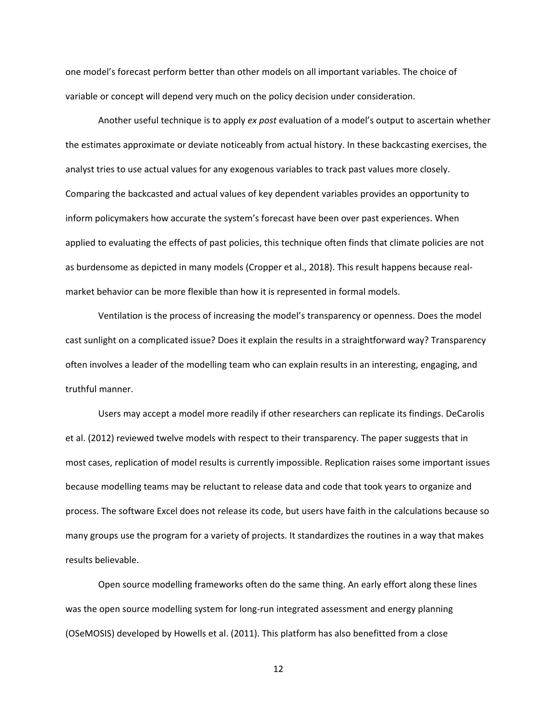one model's forecast perform better than other models on all important variables. The choice of variable or concept will depend very much on the policy decision under consideration.

Another useful technique is to apply *ex post* evaluation of a model's output to ascertain whether the estimates approximate or deviate noticeably from actual history. In these backcasting exercises, the analyst tries to use actual values for any exogenous variables to track past values more closely. Comparing the backcasted and actual values of key dependent variables provides an opportunity to inform policymakers how accurate the system's forecast have been over past experiences. When applied to evaluating the effects of past policies, this technique often finds that climate policies are not as burdensome as depicted in many models (Cropper et al., 2018). This result happens because realmarket behavior can be more flexible than how it is represented in formal models.

Ventilation is the process of increasing the model's transparency or openness. Does the model cast sunlight on a complicated issue? Does it explain the results in a straightforward way? Transparency often involves a leader of the modelling team who can explain results in an interesting, engaging, and truthful manner.

Users may accept a model more readily if other researchers can replicate its findings. DeCarolis et al. (2012) reviewed twelve models with respect to their transparency. The paper suggests that in most cases, replication of model results is currently impossible. Replication raises some important issues because modelling teams may be reluctant to release data and code that took years to organize and process. The software Excel does not release its code, but users have faith in the calculations because so many groups use the program for a variety of projects. It standardizes the routines in a way that makes results believable.

Open source modelling frameworks often do the same thing. An early effort along these lines was the open source modelling system for long-run integrated assessment and energy planning (OSeMOSIS) developed by Howells et al. (2011). This platform has also benefitted from a close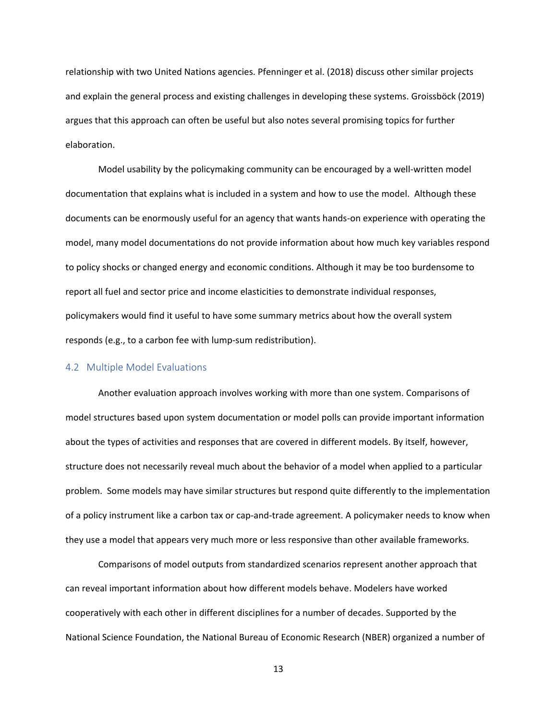relationship with two United Nations agencies. Pfenninger et al. (2018) discuss other similar projects and explain the general process and existing challenges in developing these systems. Groissböck (2019) argues that this approach can often be useful but also notes several promising topics for further elaboration.

Model usability by the policymaking community can be encouraged by a well-written model documentation that explains what is included in a system and how to use the model. Although these documents can be enormously useful for an agency that wants hands-on experience with operating the model, many model documentations do not provide information about how much key variables respond to policy shocks or changed energy and economic conditions. Although it may be too burdensome to report all fuel and sector price and income elasticities to demonstrate individual responses, policymakers would find it useful to have some summary metrics about how the overall system responds (e.g., to a carbon fee with lump-sum redistribution).

#### 4.2 Multiple Model Evaluations

Another evaluation approach involves working with more than one system. Comparisons of model structures based upon system documentation or model polls can provide important information about the types of activities and responses that are covered in different models. By itself, however, structure does not necessarily reveal much about the behavior of a model when applied to a particular problem. Some models may have similar structures but respond quite differently to the implementation of a policy instrument like a carbon tax or cap-and-trade agreement. A policymaker needs to know when they use a model that appears very much more or less responsive than other available frameworks.

Comparisons of model outputs from standardized scenarios represent another approach that can reveal important information about how different models behave. Modelers have worked cooperatively with each other in different disciplines for a number of decades. Supported by the National Science Foundation, the National Bureau of Economic Research (NBER) organized a number of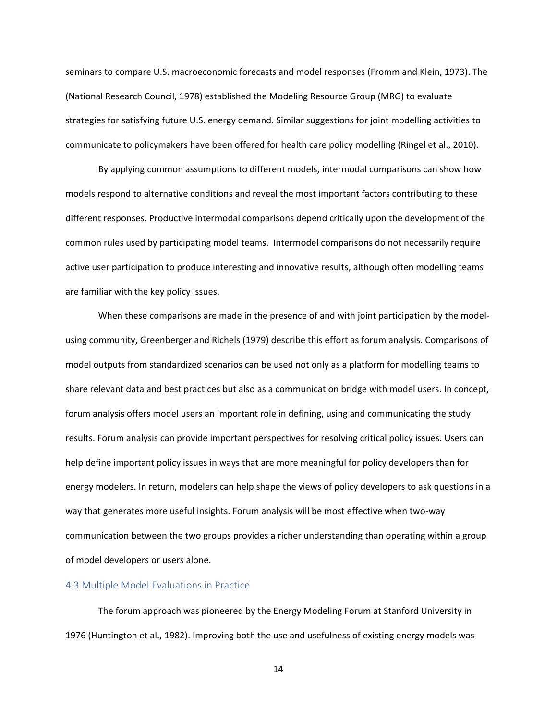seminars to compare U.S. macroeconomic forecasts and model responses (Fromm and Klein, 1973). The (National Research Council, 1978) established the Modeling Resource Group (MRG) to evaluate strategies for satisfying future U.S. energy demand. Similar suggestions for joint modelling activities to communicate to policymakers have been offered for health care policy modelling (Ringel et al., 2010).

By applying common assumptions to different models, intermodal comparisons can show how models respond to alternative conditions and reveal the most important factors contributing to these different responses. Productive intermodal comparisons depend critically upon the development of the common rules used by participating model teams. Intermodel comparisons do not necessarily require active user participation to produce interesting and innovative results, although often modelling teams are familiar with the key policy issues.

When these comparisons are made in the presence of and with joint participation by the modelusing community, Greenberger and Richels (1979) describe this effort as forum analysis. Comparisons of model outputs from standardized scenarios can be used not only as a platform for modelling teams to share relevant data and best practices but also as a communication bridge with model users. In concept, forum analysis offers model users an important role in defining, using and communicating the study results. Forum analysis can provide important perspectives for resolving critical policy issues. Users can help define important policy issues in ways that are more meaningful for policy developers than for energy modelers. In return, modelers can help shape the views of policy developers to ask questions in a way that generates more useful insights. Forum analysis will be most effective when two-way communication between the two groups provides a richer understanding than operating within a group of model developers or users alone.

#### 4.3 Multiple Model Evaluations in Practice

The forum approach was pioneered by the Energy Modeling Forum at Stanford University in 1976 (Huntington et al., 1982). Improving both the use and usefulness of existing energy models was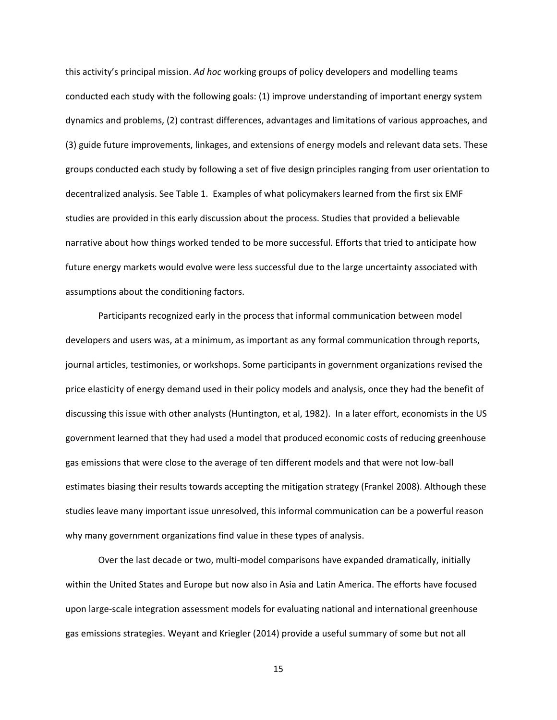this activity's principal mission. *Ad hoc* working groups of policy developers and modelling teams conducted each study with the following goals: (1) improve understanding of important energy system dynamics and problems, (2) contrast differences, advantages and limitations of various approaches, and (3) guide future improvements, linkages, and extensions of energy models and relevant data sets. These groups conducted each study by following a set of five design principles ranging from user orientation to decentralized analysis. See Table 1. Examples of what policymakers learned from the first six EMF studies are provided in this early discussion about the process. Studies that provided a believable narrative about how things worked tended to be more successful. Efforts that tried to anticipate how future energy markets would evolve were less successful due to the large uncertainty associated with assumptions about the conditioning factors.

Participants recognized early in the process that informal communication between model developers and users was, at a minimum, as important as any formal communication through reports, journal articles, testimonies, or workshops. Some participants in government organizations revised the price elasticity of energy demand used in their policy models and analysis, once they had the benefit of discussing this issue with other analysts (Huntington, et al, 1982). In a later effort, economists in the US government learned that they had used a model that produced economic costs of reducing greenhouse gas emissions that were close to the average of ten different models and that were not low-ball estimates biasing their results towards accepting the mitigation strategy (Frankel 2008). Although these studies leave many important issue unresolved, this informal communication can be a powerful reason why many government organizations find value in these types of analysis.

Over the last decade or two, multi-model comparisons have expanded dramatically, initially within the United States and Europe but now also in Asia and Latin America. The efforts have focused upon large-scale integration assessment models for evaluating national and international greenhouse gas emissions strategies. Weyant and Kriegler (2014) provide a useful summary of some but not all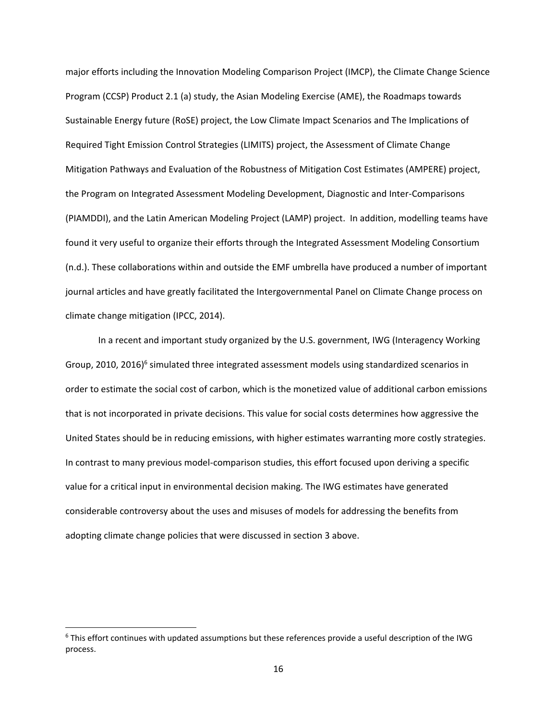major efforts including the Innovation Modeling Comparison Project (IMCP), the Climate Change Science Program (CCSP) Product 2.1 (a) study, the Asian Modeling Exercise (AME), the Roadmaps towards Sustainable Energy future (RoSE) project, the Low Climate Impact Scenarios and The Implications of Required Tight Emission Control Strategies (LIMITS) project, the Assessment of Climate Change Mitigation Pathways and Evaluation of the Robustness of Mitigation Cost Estimates (AMPERE) project, the Program on Integrated Assessment Modeling Development, Diagnostic and Inter-Comparisons (PIAMDDI), and the Latin American Modeling Project (LAMP) project. In addition, modelling teams have found it very useful to organize their efforts through the Integrated Assessment Modeling Consortium (n.d.). These collaborations within and outside the EMF umbrella have produced a number of important journal articles and have greatly facilitated the Intergovernmental Panel on Climate Change process on climate change mitigation (IPCC, 2014).

In a recent and important study organized by the U.S. government, IWG (Interagency Working Group, 2010, 2016)<sup>6</sup> simulated three integrated assessment models using standardized scenarios in order to estimate the social cost of carbon, which is the monetized value of additional carbon emissions that is not incorporated in private decisions. This value for social costs determines how aggressive the United States should be in reducing emissions, with higher estimates warranting more costly strategies. In contrast to many previous model-comparison studies, this effort focused upon deriving a specific value for a critical input in environmental decision making. The IWG estimates have generated considerable controversy about the uses and misuses of models for addressing the benefits from adopting climate change policies that were discussed in section 3 above.

<sup>&</sup>lt;sup>6</sup> This effort continues with updated assumptions but these references provide a useful description of the IWG process.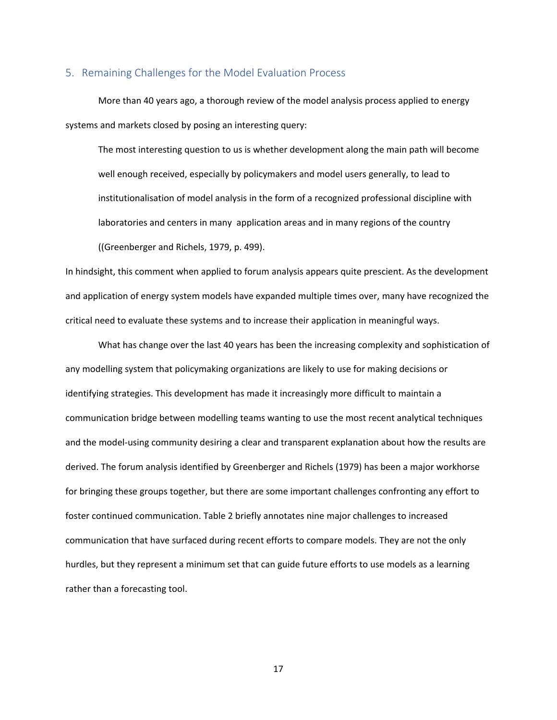#### 5. Remaining Challenges for the Model Evaluation Process

More than 40 years ago, a thorough review of the model analysis process applied to energy systems and markets closed by posing an interesting query:

The most interesting question to us is whether development along the main path will become well enough received, especially by policymakers and model users generally, to lead to institutionalisation of model analysis in the form of a recognized professional discipline with laboratories and centers in many application areas and in many regions of the country ((Greenberger and Richels, 1979, p. 499).

In hindsight, this comment when applied to forum analysis appears quite prescient. As the development and application of energy system models have expanded multiple times over, many have recognized the critical need to evaluate these systems and to increase their application in meaningful ways.

What has change over the last 40 years has been the increasing complexity and sophistication of any modelling system that policymaking organizations are likely to use for making decisions or identifying strategies. This development has made it increasingly more difficult to maintain a communication bridge between modelling teams wanting to use the most recent analytical techniques and the model-using community desiring a clear and transparent explanation about how the results are derived. The forum analysis identified by Greenberger and Richels (1979) has been a major workhorse for bringing these groups together, but there are some important challenges confronting any effort to foster continued communication. Table 2 briefly annotates nine major challenges to increased communication that have surfaced during recent efforts to compare models. They are not the only hurdles, but they represent a minimum set that can guide future efforts to use models as a learning rather than a forecasting tool.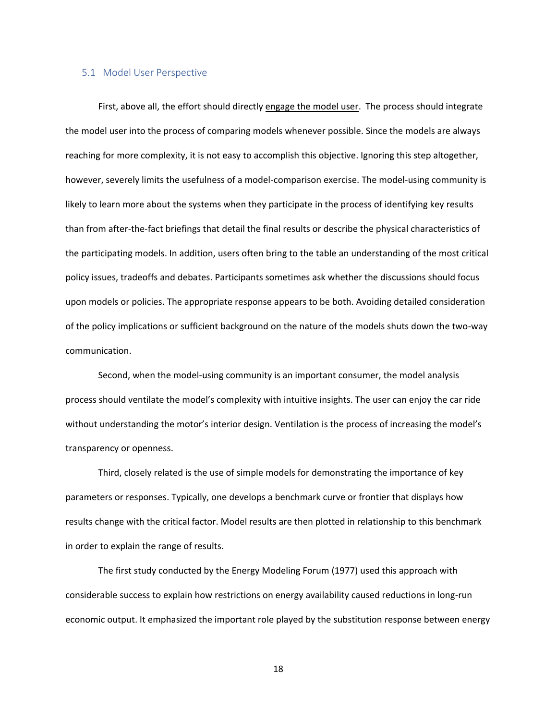#### 5.1 Model User Perspective

First, above all, the effort should directly engage the model user. The process should integrate the model user into the process of comparing models whenever possible. Since the models are always reaching for more complexity, it is not easy to accomplish this objective. Ignoring this step altogether, however, severely limits the usefulness of a model-comparison exercise. The model-using community is likely to learn more about the systems when they participate in the process of identifying key results than from after-the-fact briefings that detail the final results or describe the physical characteristics of the participating models. In addition, users often bring to the table an understanding of the most critical policy issues, tradeoffs and debates. Participants sometimes ask whether the discussions should focus upon models or policies. The appropriate response appears to be both. Avoiding detailed consideration of the policy implications or sufficient background on the nature of the models shuts down the two-way communication.

Second, when the model-using community is an important consumer, the model analysis process should ventilate the model's complexity with intuitive insights. The user can enjoy the car ride without understanding the motor's interior design. Ventilation is the process of increasing the model's transparency or openness.

Third, closely related is the use of simple models for demonstrating the importance of key parameters or responses. Typically, one develops a benchmark curve or frontier that displays how results change with the critical factor. Model results are then plotted in relationship to this benchmark in order to explain the range of results.

The first study conducted by the Energy Modeling Forum (1977) used this approach with considerable success to explain how restrictions on energy availability caused reductions in long-run economic output. It emphasized the important role played by the substitution response between energy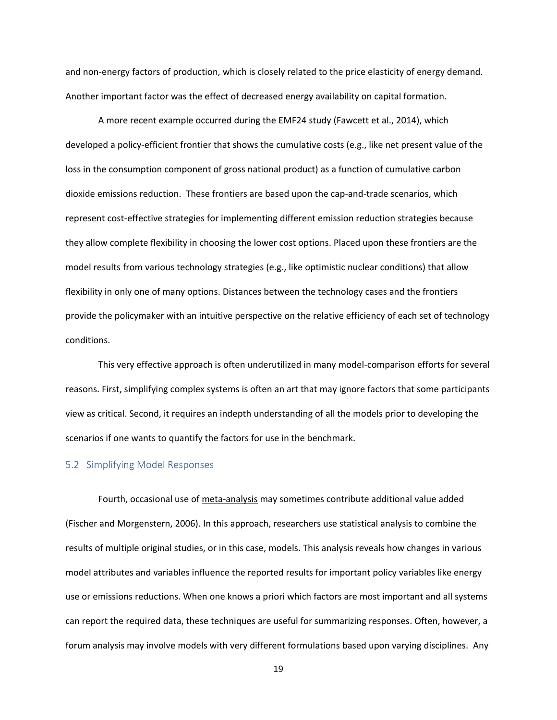and non-energy factors of production, which is closely related to the price elasticity of energy demand. Another important factor was the effect of decreased energy availability on capital formation.

A more recent example occurred during the EMF24 study (Fawcett et al., 2014), which developed a policy-efficient frontier that shows the cumulative costs (e.g., like net present value of the loss in the consumption component of gross national product) as a function of cumulative carbon dioxide emissions reduction. These frontiers are based upon the cap-and-trade scenarios, which represent cost-effective strategies for implementing different emission reduction strategies because they allow complete flexibility in choosing the lower cost options. Placed upon these frontiers are the model results from various technology strategies (e.g., like optimistic nuclear conditions) that allow flexibility in only one of many options. Distances between the technology cases and the frontiers provide the policymaker with an intuitive perspective on the relative efficiency of each set of technology conditions.

This very effective approach is often underutilized in many model-comparison efforts for several reasons. First, simplifying complex systems is often an art that may ignore factors that some participants view as critical. Second, it requires an indepth understanding of all the models prior to developing the scenarios if one wants to quantify the factors for use in the benchmark.

#### 5.2 Simplifying Model Responses

Fourth, occasional use of meta-analysis may sometimes contribute additional value added (Fischer and Morgenstern, 2006). In this approach, researchers use statistical analysis to combine the results of multiple original studies, or in this case, models. This analysis reveals how changes in various model attributes and variables influence the reported results for important policy variables like energy use or emissions reductions. When one knows a priori which factors are most important and all systems can report the required data, these techniques are useful for summarizing responses. Often, however, a forum analysis may involve models with very different formulations based upon varying disciplines. Any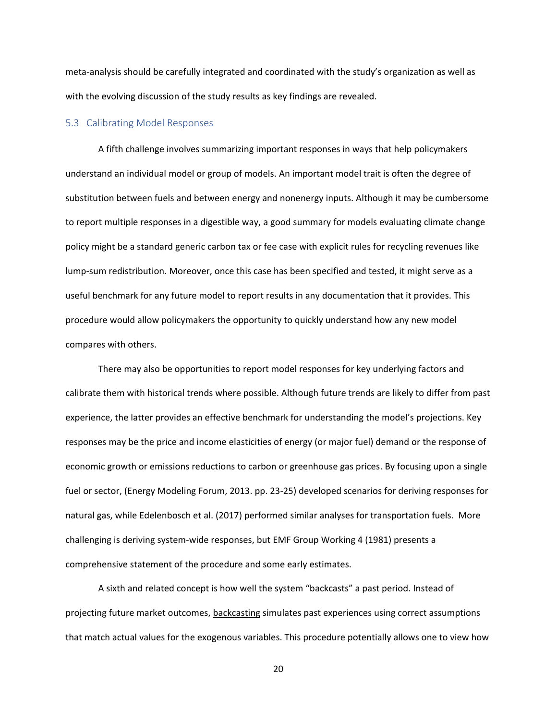meta-analysis should be carefully integrated and coordinated with the study's organization as well as with the evolving discussion of the study results as key findings are revealed.

#### 5.3 Calibrating Model Responses

A fifth challenge involves summarizing important responses in ways that help policymakers understand an individual model or group of models. An important model trait is often the degree of substitution between fuels and between energy and nonenergy inputs. Although it may be cumbersome to report multiple responses in a digestible way, a good summary for models evaluating climate change policy might be a standard generic carbon tax or fee case with explicit rules for recycling revenues like lump-sum redistribution. Moreover, once this case has been specified and tested, it might serve as a useful benchmark for any future model to report results in any documentation that it provides. This procedure would allow policymakers the opportunity to quickly understand how any new model compares with others.

There may also be opportunities to report model responses for key underlying factors and calibrate them with historical trends where possible. Although future trends are likely to differ from past experience, the latter provides an effective benchmark for understanding the model's projections. Key responses may be the price and income elasticities of energy (or major fuel) demand or the response of economic growth or emissions reductions to carbon or greenhouse gas prices. By focusing upon a single fuel or sector, (Energy Modeling Forum, 2013. pp. 23-25) developed scenarios for deriving responses for natural gas, while Edelenbosch et al. (2017) performed similar analyses for transportation fuels. More challenging is deriving system-wide responses, but EMF Group Working 4 (1981) presents a comprehensive statement of the procedure and some early estimates.

A sixth and related concept is how well the system "backcasts" a past period. Instead of projecting future market outcomes, backcasting simulates past experiences using correct assumptions that match actual values for the exogenous variables. This procedure potentially allows one to view how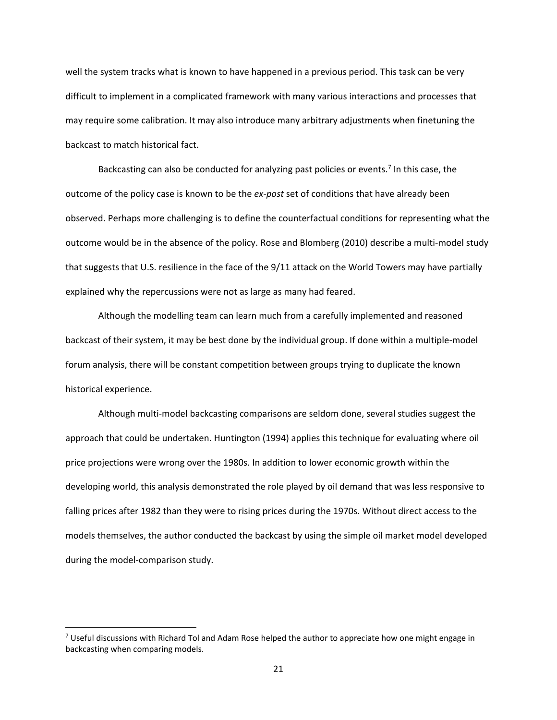well the system tracks what is known to have happened in a previous period. This task can be very difficult to implement in a complicated framework with many various interactions and processes that may require some calibration. It may also introduce many arbitrary adjustments when finetuning the backcast to match historical fact.

Backcasting can also be conducted for analyzing past policies or events.<sup>7</sup> In this case, the outcome of the policy case is known to be the *ex-post* set of conditions that have already been observed. Perhaps more challenging is to define the counterfactual conditions for representing what the outcome would be in the absence of the policy. Rose and Blomberg (2010) describe a multi-model study that suggests that U.S. resilience in the face of the 9/11 attack on the World Towers may have partially explained why the repercussions were not as large as many had feared.

Although the modelling team can learn much from a carefully implemented and reasoned backcast of their system, it may be best done by the individual group. If done within a multiple-model forum analysis, there will be constant competition between groups trying to duplicate the known historical experience.

Although multi-model backcasting comparisons are seldom done, several studies suggest the approach that could be undertaken. Huntington (1994) applies this technique for evaluating where oil price projections were wrong over the 1980s. In addition to lower economic growth within the developing world, this analysis demonstrated the role played by oil demand that was less responsive to falling prices after 1982 than they were to rising prices during the 1970s. Without direct access to the models themselves, the author conducted the backcast by using the simple oil market model developed during the model-comparison study.

 $^7$  Useful discussions with Richard Tol and Adam Rose helped the author to appreciate how one might engage in backcasting when comparing models.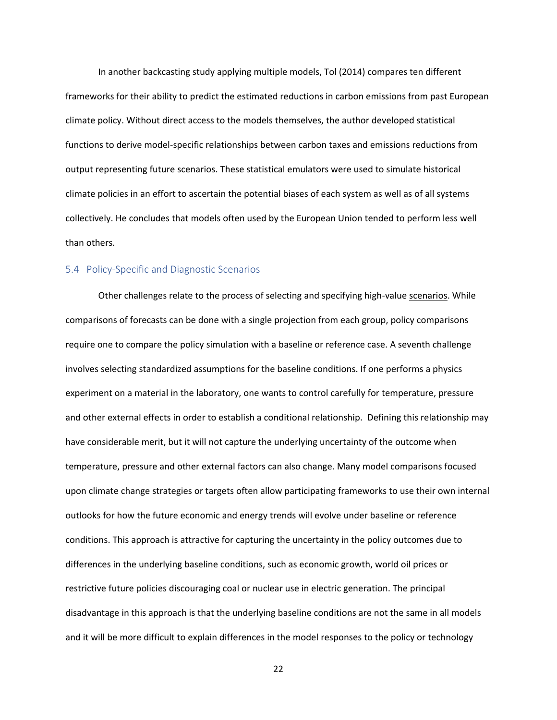In another backcasting study applying multiple models, Tol (2014) compares ten different frameworks for their ability to predict the estimated reductions in carbon emissions from past European climate policy. Without direct access to the models themselves, the author developed statistical functions to derive model-specific relationships between carbon taxes and emissions reductions from output representing future scenarios. These statistical emulators were used to simulate historical climate policies in an effort to ascertain the potential biases of each system as well as of all systems collectively. He concludes that models often used by the European Union tended to perform less well than others.

#### 5.4 Policy-Specific and Diagnostic Scenarios

Other challenges relate to the process of selecting and specifying high-value scenarios. While comparisons of forecasts can be done with a single projection from each group, policy comparisons require one to compare the policy simulation with a baseline or reference case. A seventh challenge involves selecting standardized assumptions for the baseline conditions. If one performs a physics experiment on a material in the laboratory, one wants to control carefully for temperature, pressure and other external effects in order to establish a conditional relationship. Defining this relationship may have considerable merit, but it will not capture the underlying uncertainty of the outcome when temperature, pressure and other external factors can also change. Many model comparisons focused upon climate change strategies or targets often allow participating frameworks to use their own internal outlooks for how the future economic and energy trends will evolve under baseline or reference conditions. This approach is attractive for capturing the uncertainty in the policy outcomes due to differences in the underlying baseline conditions, such as economic growth, world oil prices or restrictive future policies discouraging coal or nuclear use in electric generation. The principal disadvantage in this approach is that the underlying baseline conditions are not the same in all models and it will be more difficult to explain differences in the model responses to the policy or technology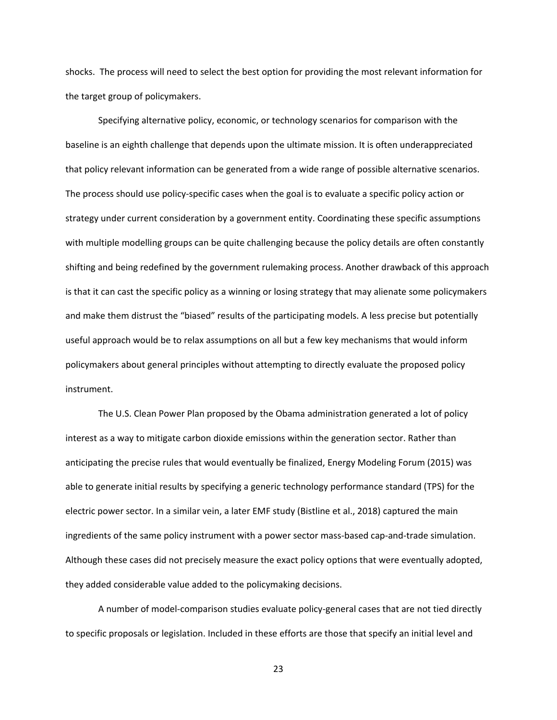shocks. The process will need to select the best option for providing the most relevant information for the target group of policymakers.

Specifying alternative policy, economic, or technology scenarios for comparison with the baseline is an eighth challenge that depends upon the ultimate mission. It is often underappreciated that policy relevant information can be generated from a wide range of possible alternative scenarios. The process should use policy-specific cases when the goal is to evaluate a specific policy action or strategy under current consideration by a government entity. Coordinating these specific assumptions with multiple modelling groups can be quite challenging because the policy details are often constantly shifting and being redefined by the government rulemaking process. Another drawback of this approach is that it can cast the specific policy as a winning or losing strategy that may alienate some policymakers and make them distrust the "biased" results of the participating models. A less precise but potentially useful approach would be to relax assumptions on all but a few key mechanisms that would inform policymakers about general principles without attempting to directly evaluate the proposed policy instrument.

The U.S. Clean Power Plan proposed by the Obama administration generated a lot of policy interest as a way to mitigate carbon dioxide emissions within the generation sector. Rather than anticipating the precise rules that would eventually be finalized, Energy Modeling Forum (2015) was able to generate initial results by specifying a generic technology performance standard (TPS) for the electric power sector. In a similar vein, a later EMF study (Bistline et al., 2018) captured the main ingredients of the same policy instrument with a power sector mass-based cap-and-trade simulation. Although these cases did not precisely measure the exact policy options that were eventually adopted, they added considerable value added to the policymaking decisions.

A number of model-comparison studies evaluate policy-general cases that are not tied directly to specific proposals or legislation. Included in these efforts are those that specify an initial level and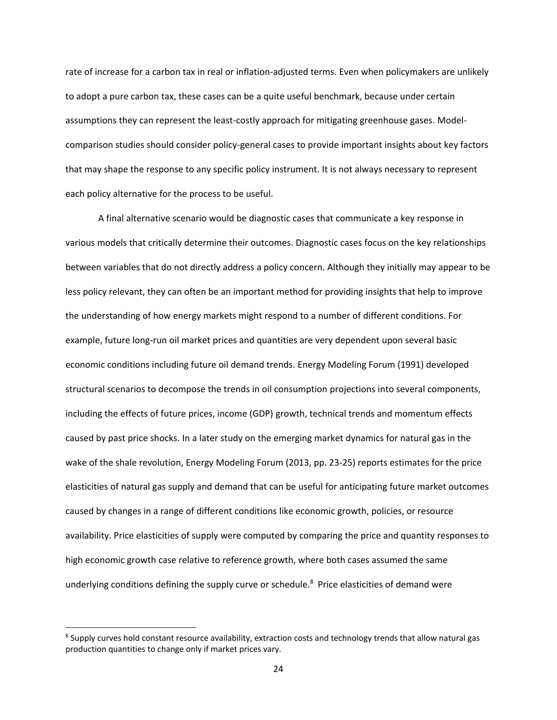rate of increase for a carbon tax in real or inflation-adjusted terms. Even when policymakers are unlikely to adopt a pure carbon tax, these cases can be a quite useful benchmark, because under certain assumptions they can represent the least-costly approach for mitigating greenhouse gases. Modelcomparison studies should consider policy-general cases to provide important insights about key factors that may shape the response to any specific policy instrument. It is not always necessary to represent each policy alternative for the process to be useful.

A final alternative scenario would be diagnostic cases that communicate a key response in various models that critically determine their outcomes. Diagnostic cases focus on the key relationships between variables that do not directly address a policy concern. Although they initially may appear to be less policy relevant, they can often be an important method for providing insights that help to improve the understanding of how energy markets might respond to a number of different conditions. For example, future long-run oil market prices and quantities are very dependent upon several basic economic conditions including future oil demand trends. Energy Modeling Forum (1991) developed structural scenarios to decompose the trends in oil consumption projections into several components, including the effects of future prices, income (GDP) growth, technical trends and momentum effects caused by past price shocks. In a later study on the emerging market dynamics for natural gas in the wake of the shale revolution, Energy Modeling Forum (2013, pp. 23-25) reports estimates for the price elasticities of natural gas supply and demand that can be useful for anticipating future market outcomes caused by changes in a range of different conditions like economic growth, policies, or resource availability. Price elasticities of supply were computed by comparing the price and quantity responses to high economic growth case relative to reference growth, where both cases assumed the same underlying conditions defining the supply curve or schedule.<sup>8</sup> Price elasticities of demand were

<sup>&</sup>lt;sup>8</sup> Supply curves hold constant resource availability, extraction costs and technology trends that allow natural gas production quantities to change only if market prices vary.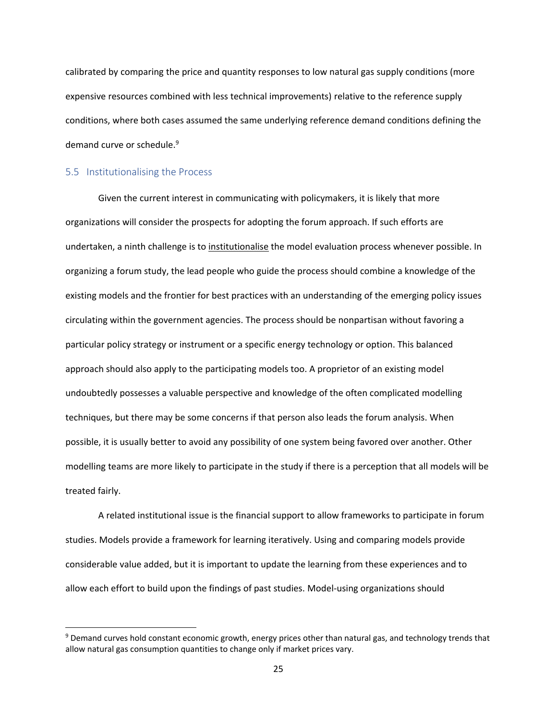calibrated by comparing the price and quantity responses to low natural gas supply conditions (more expensive resources combined with less technical improvements) relative to the reference supply conditions, where both cases assumed the same underlying reference demand conditions defining the demand curve or schedule.<sup>9</sup>

#### 5.5 Institutionalising the Process

Given the current interest in communicating with policymakers, it is likely that more organizations will consider the prospects for adopting the forum approach. If such efforts are undertaken, a ninth challenge is to institutionalise the model evaluation process whenever possible. In organizing a forum study, the lead people who guide the process should combine a knowledge of the existing models and the frontier for best practices with an understanding of the emerging policy issues circulating within the government agencies. The process should be nonpartisan without favoring a particular policy strategy or instrument or a specific energy technology or option. This balanced approach should also apply to the participating models too. A proprietor of an existing model undoubtedly possesses a valuable perspective and knowledge of the often complicated modelling techniques, but there may be some concerns if that person also leads the forum analysis. When possible, it is usually better to avoid any possibility of one system being favored over another. Other modelling teams are more likely to participate in the study if there is a perception that all models will be treated fairly.

A related institutional issue is the financial support to allow frameworks to participate in forum studies. Models provide a framework for learning iteratively. Using and comparing models provide considerable value added, but it is important to update the learning from these experiences and to allow each effort to build upon the findings of past studies. Model-using organizations should

<sup>&</sup>lt;sup>9</sup> Demand curves hold constant economic growth, energy prices other than natural gas, and technology trends that allow natural gas consumption quantities to change only if market prices vary.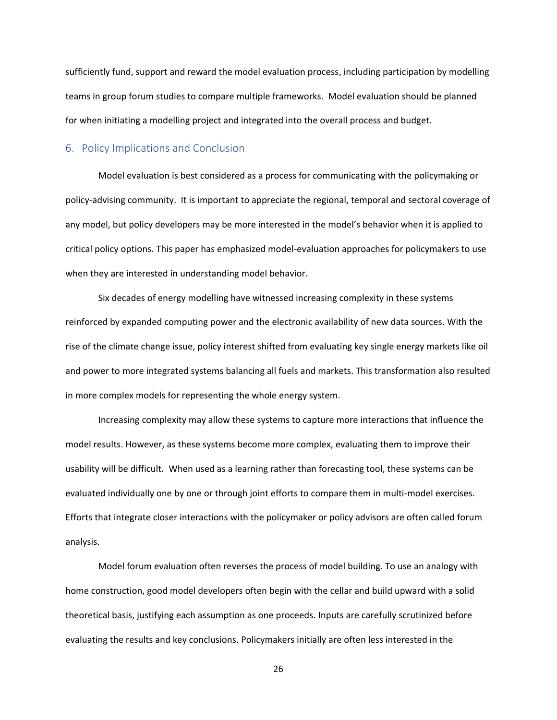sufficiently fund, support and reward the model evaluation process, including participation by modelling teams in group forum studies to compare multiple frameworks. Model evaluation should be planned for when initiating a modelling project and integrated into the overall process and budget.

#### 6. Policy Implications and Conclusion

Model evaluation is best considered as a process for communicating with the policymaking or policy-advising community. It is important to appreciate the regional, temporal and sectoral coverage of any model, but policy developers may be more interested in the model's behavior when it is applied to critical policy options. This paper has emphasized model-evaluation approaches for policymakers to use when they are interested in understanding model behavior.

Six decades of energy modelling have witnessed increasing complexity in these systems reinforced by expanded computing power and the electronic availability of new data sources. With the rise of the climate change issue, policy interest shifted from evaluating key single energy markets like oil and power to more integrated systems balancing all fuels and markets. This transformation also resulted in more complex models for representing the whole energy system.

Increasing complexity may allow these systems to capture more interactions that influence the model results. However, as these systems become more complex, evaluating them to improve their usability will be difficult. When used as a learning rather than forecasting tool, these systems can be evaluated individually one by one or through joint efforts to compare them in multi-model exercises. Efforts that integrate closer interactions with the policymaker or policy advisors are often called forum analysis.

Model forum evaluation often reverses the process of model building. To use an analogy with home construction, good model developers often begin with the cellar and build upward with a solid theoretical basis, justifying each assumption as one proceeds. Inputs are carefully scrutinized before evaluating the results and key conclusions. Policymakers initially are often less interested in the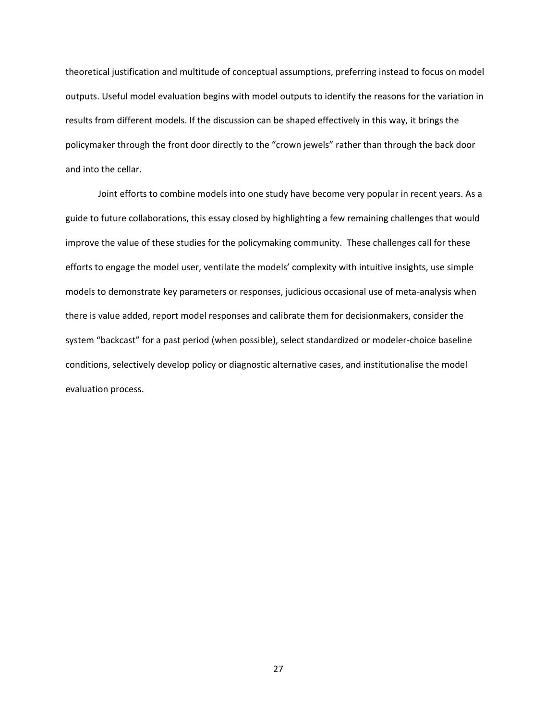theoretical justification and multitude of conceptual assumptions, preferring instead to focus on model outputs. Useful model evaluation begins with model outputs to identify the reasons for the variation in results from different models. If the discussion can be shaped effectively in this way, it brings the policymaker through the front door directly to the "crown jewels" rather than through the back door and into the cellar.

Joint efforts to combine models into one study have become very popular in recent years. As a guide to future collaborations, this essay closed by highlighting a few remaining challenges that would improve the value of these studies for the policymaking community. These challenges call for these efforts to engage the model user, ventilate the models' complexity with intuitive insights, use simple models to demonstrate key parameters or responses, judicious occasional use of meta-analysis when there is value added, report model responses and calibrate them for decisionmakers, consider the system "backcast" for a past period (when possible), select standardized or modeler-choice baseline conditions, selectively develop policy or diagnostic alternative cases, and institutionalise the model evaluation process.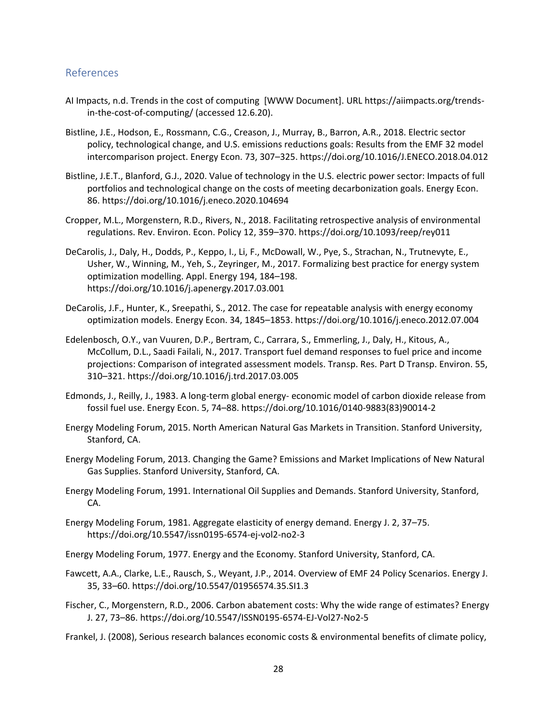#### References

- AI Impacts, n.d. Trends in the cost of computing [WWW Document]. URL https://aiimpacts.org/trendsin-the-cost-of-computing/ (accessed 12.6.20).
- Bistline, J.E., Hodson, E., Rossmann, C.G., Creason, J., Murray, B., Barron, A.R., 2018. Electric sector policy, technological change, and U.S. emissions reductions goals: Results from the EMF 32 model intercomparison project. Energy Econ. 73, 307–325. https://doi.org/10.1016/J.ENECO.2018.04.012
- Bistline, J.E.T., Blanford, G.J., 2020. Value of technology in the U.S. electric power sector: Impacts of full portfolios and technological change on the costs of meeting decarbonization goals. Energy Econ. 86. https://doi.org/10.1016/j.eneco.2020.104694
- Cropper, M.L., Morgenstern, R.D., Rivers, N., 2018. Facilitating retrospective analysis of environmental regulations. Rev. Environ. Econ. Policy 12, 359–370. https://doi.org/10.1093/reep/rey011
- DeCarolis, J., Daly, H., Dodds, P., Keppo, I., Li, F., McDowall, W., Pye, S., Strachan, N., Trutnevyte, E., Usher, W., Winning, M., Yeh, S., Zeyringer, M., 2017. Formalizing best practice for energy system optimization modelling. Appl. Energy 194, 184–198. https://doi.org/10.1016/j.apenergy.2017.03.001
- DeCarolis, J.F., Hunter, K., Sreepathi, S., 2012. The case for repeatable analysis with energy economy optimization models. Energy Econ. 34, 1845–1853. https://doi.org/10.1016/j.eneco.2012.07.004
- Edelenbosch, O.Y., van Vuuren, D.P., Bertram, C., Carrara, S., Emmerling, J., Daly, H., Kitous, A., McCollum, D.L., Saadi Failali, N., 2017. Transport fuel demand responses to fuel price and income projections: Comparison of integrated assessment models. Transp. Res. Part D Transp. Environ. 55, 310–321. https://doi.org/10.1016/j.trd.2017.03.005
- Edmonds, J., Reilly, J., 1983. A long-term global energy- economic model of carbon dioxide release from fossil fuel use. Energy Econ. 5, 74–88. https://doi.org/10.1016/0140-9883(83)90014-2
- Energy Modeling Forum, 2015. North American Natural Gas Markets in Transition. Stanford University, Stanford, CA.
- Energy Modeling Forum, 2013. Changing the Game? Emissions and Market Implications of New Natural Gas Supplies. Stanford University, Stanford, CA.
- Energy Modeling Forum, 1991. International Oil Supplies and Demands. Stanford University, Stanford, CA.
- Energy Modeling Forum, 1981. Aggregate elasticity of energy demand. Energy J. 2, 37–75. https://doi.org/10.5547/issn0195-6574-ej-vol2-no2-3

Energy Modeling Forum, 1977. Energy and the Economy. Stanford University, Stanford, CA.

- Fawcett, A.A., Clarke, L.E., Rausch, S., Weyant, J.P., 2014. Overview of EMF 24 Policy Scenarios. Energy J. 35, 33–60. https://doi.org/10.5547/01956574.35.SI1.3
- Fischer, C., Morgenstern, R.D., 2006. Carbon abatement costs: Why the wide range of estimates? Energy J. 27, 73–86. https://doi.org/10.5547/ISSN0195-6574-EJ-Vol27-No2-5
- Frankel, J. (2008), Serious research balances economic costs & environmental benefits of climate policy,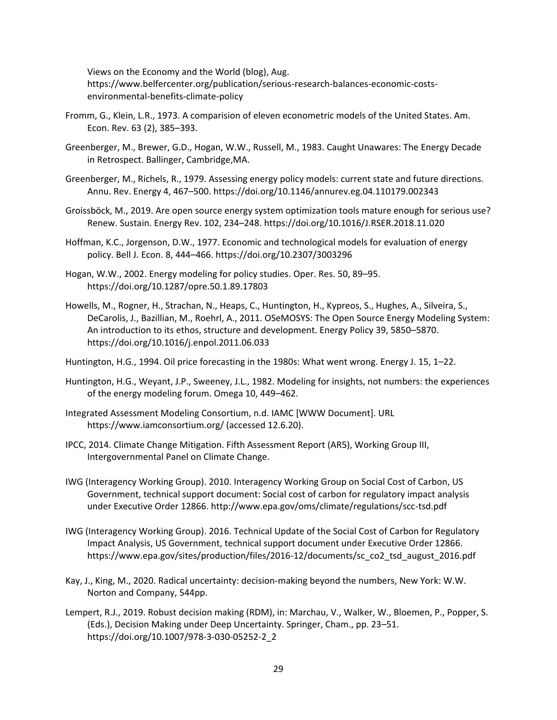Views on the Economy and the World (blog), Aug. https://www.belfercenter.org/publication/serious-research-balances-economic-costsenvironmental-benefits-climate-policy

- Fromm, G., Klein, L.R., 1973. A comparision of eleven econometric models of the United States. Am. Econ. Rev. 63 (2), 385–393.
- Greenberger, M., Brewer, G.D., Hogan, W.W., Russell, M., 1983. Caught Unawares: The Energy Decade in Retrospect. Ballinger, Cambridge,MA.
- Greenberger, M., Richels, R., 1979. Assessing energy policy models: current state and future directions. Annu. Rev. Energy 4, 467–500. https://doi.org/10.1146/annurev.eg.04.110179.002343
- Groissböck, M., 2019. Are open source energy system optimization tools mature enough for serious use? Renew. Sustain. Energy Rev. 102, 234–248. https://doi.org/10.1016/J.RSER.2018.11.020
- Hoffman, K.C., Jorgenson, D.W., 1977. Economic and technological models for evaluation of energy policy. Bell J. Econ. 8, 444–466. https://doi.org/10.2307/3003296
- Hogan, W.W., 2002. Energy modeling for policy studies. Oper. Res. 50, 89–95. https://doi.org/10.1287/opre.50.1.89.17803
- Howells, M., Rogner, H., Strachan, N., Heaps, C., Huntington, H., Kypreos, S., Hughes, A., Silveira, S., DeCarolis, J., Bazillian, M., Roehrl, A., 2011. OSeMOSYS: The Open Source Energy Modeling System: An introduction to its ethos, structure and development. Energy Policy 39, 5850–5870. https://doi.org/10.1016/j.enpol.2011.06.033
- Huntington, H.G., 1994. Oil price forecasting in the 1980s: What went wrong. Energy J. 15, 1–22.
- Huntington, H.G., Weyant, J.P., Sweeney, J.L., 1982. Modeling for insights, not numbers: the experiences of the energy modeling forum. Omega 10, 449–462.
- Integrated Assessment Modeling Consortium, n.d. IAMC [WWW Document]. URL https://www.iamconsortium.org/ (accessed 12.6.20).
- IPCC, 2014. Climate Change Mitigation. Fifth Assessment Report (AR5), Working Group III, Intergovernmental Panel on Climate Change.
- IWG (Interagency Working Group). 2010. Interagency Working Group on Social Cost of Carbon, US Government, technical support document: Social cost of carbon for regulatory impact analysis under Executive Order 12866. http://www.epa.gov/oms/climate/regulations/scc-tsd.pdf
- IWG (Interagency Working Group). 2016. Technical Update of the Social Cost of Carbon for Regulatory Impact Analysis, US Government, technical support document under Executive Order 12866. https://www.epa.gov/sites/production/files/2016-12/documents/sc\_co2\_tsd\_august\_2016.pdf
- Kay, J., King, M., 2020. Radical uncertainty: decision-making beyond the numbers, New York: W.W. Norton and Company, 544pp.
- Lempert, R.J., 2019. Robust decision making (RDM), in: Marchau, V., Walker, W., Bloemen, P., Popper, S. (Eds.), Decision Making under Deep Uncertainty. Springer, Cham., pp. 23–51. https://doi.org/10.1007/978-3-030-05252-2\_2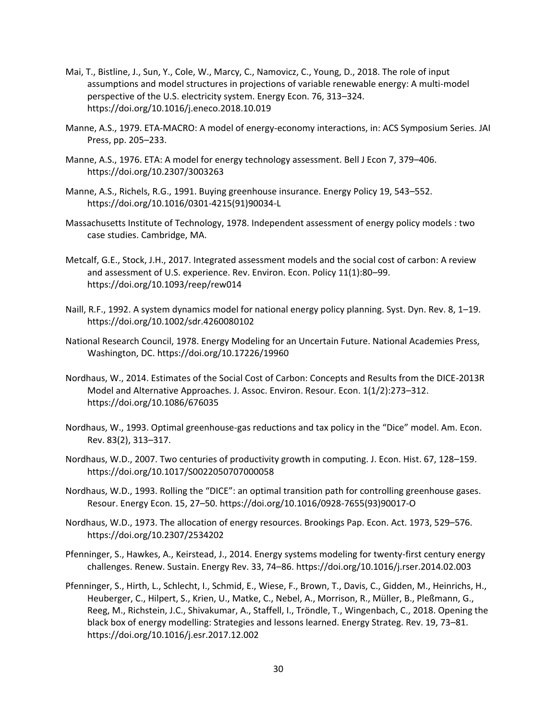- Mai, T., Bistline, J., Sun, Y., Cole, W., Marcy, C., Namovicz, C., Young, D., 2018. The role of input assumptions and model structures in projections of variable renewable energy: A multi-model perspective of the U.S. electricity system. Energy Econ. 76, 313–324. https://doi.org/10.1016/j.eneco.2018.10.019
- Manne, A.S., 1979. ETA-MACRO: A model of energy-economy interactions, in: ACS Symposium Series. JAI Press, pp. 205–233.
- Manne, A.S., 1976. ETA: A model for energy technology assessment. Bell J Econ 7, 379–406. https://doi.org/10.2307/3003263
- Manne, A.S., Richels, R.G., 1991. Buying greenhouse insurance. Energy Policy 19, 543–552. https://doi.org/10.1016/0301-4215(91)90034-L
- Massachusetts Institute of Technology, 1978. Independent assessment of energy policy models : two case studies. Cambridge, MA.
- Metcalf, G.E., Stock, J.H., 2017. Integrated assessment models and the social cost of carbon: A review and assessment of U.S. experience. Rev. Environ. Econ. Policy 11(1):80–99. https://doi.org/10.1093/reep/rew014
- Naill, R.F., 1992. A system dynamics model for national energy policy planning. Syst. Dyn. Rev. 8, 1–19. https://doi.org/10.1002/sdr.4260080102
- National Research Council, 1978. Energy Modeling for an Uncertain Future. National Academies Press, Washington, DC. https://doi.org/10.17226/19960
- Nordhaus, W., 2014. Estimates of the Social Cost of Carbon: Concepts and Results from the DICE-2013R Model and Alternative Approaches. J. Assoc. Environ. Resour. Econ. 1(1/2):273–312. https://doi.org/10.1086/676035
- Nordhaus, W., 1993. Optimal greenhouse-gas reductions and tax policy in the "Dice" model. Am. Econ. Rev. 83(2), 313–317.
- Nordhaus, W.D., 2007. Two centuries of productivity growth in computing. J. Econ. Hist. 67, 128–159. https://doi.org/10.1017/S0022050707000058
- Nordhaus, W.D., 1993. Rolling the "DICE": an optimal transition path for controlling greenhouse gases. Resour. Energy Econ. 15, 27–50. https://doi.org/10.1016/0928-7655(93)90017-O
- Nordhaus, W.D., 1973. The allocation of energy resources. Brookings Pap. Econ. Act. 1973, 529–576. https://doi.org/10.2307/2534202
- Pfenninger, S., Hawkes, A., Keirstead, J., 2014. Energy systems modeling for twenty-first century energy challenges. Renew. Sustain. Energy Rev. 33, 74–86. https://doi.org/10.1016/j.rser.2014.02.003
- Pfenninger, S., Hirth, L., Schlecht, I., Schmid, E., Wiese, F., Brown, T., Davis, C., Gidden, M., Heinrichs, H., Heuberger, C., Hilpert, S., Krien, U., Matke, C., Nebel, A., Morrison, R., Müller, B., Pleßmann, G., Reeg, M., Richstein, J.C., Shivakumar, A., Staffell, I., Tröndle, T., Wingenbach, C., 2018. Opening the black box of energy modelling: Strategies and lessons learned. Energy Strateg. Rev. 19, 73–81. https://doi.org/10.1016/j.esr.2017.12.002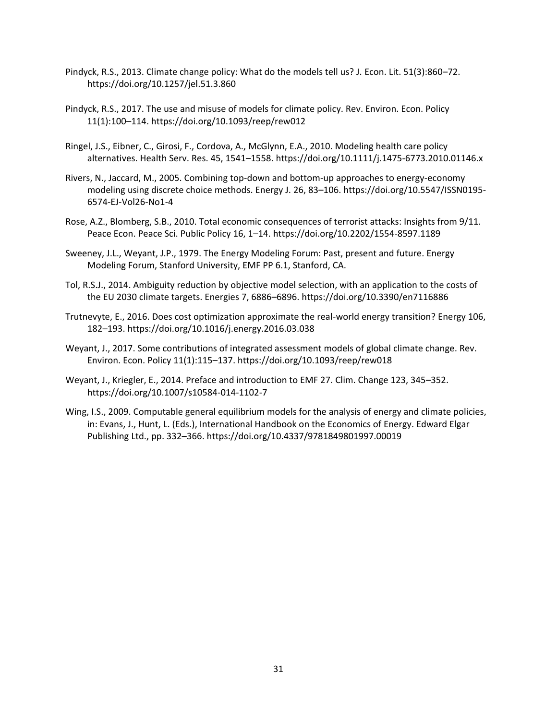- Pindyck, R.S., 2013. Climate change policy: What do the models tell us? J. Econ. Lit. 51(3):860–72. https://doi.org/10.1257/jel.51.3.860
- Pindyck, R.S., 2017. The use and misuse of models for climate policy. Rev. Environ. Econ. Policy 11(1):100–114. https://doi.org/10.1093/reep/rew012
- Ringel, J.S., Eibner, C., Girosi, F., Cordova, A., McGlynn, E.A., 2010. Modeling health care policy alternatives. Health Serv. Res. 45, 1541–1558. https://doi.org/10.1111/j.1475-6773.2010.01146.x
- Rivers, N., Jaccard, M., 2005. Combining top-down and bottom-up approaches to energy-economy modeling using discrete choice methods. Energy J. 26, 83–106. https://doi.org/10.5547/ISSN0195- 6574-EJ-Vol26-No1-4
- Rose, A.Z., Blomberg, S.B., 2010. Total economic consequences of terrorist attacks: Insights from 9/11. Peace Econ. Peace Sci. Public Policy 16, 1–14. https://doi.org/10.2202/1554-8597.1189
- Sweeney, J.L., Weyant, J.P., 1979. The Energy Modeling Forum: Past, present and future. Energy Modeling Forum, Stanford University, EMF PP 6.1, Stanford, CA.
- Tol, R.S.J., 2014. Ambiguity reduction by objective model selection, with an application to the costs of the EU 2030 climate targets. Energies 7, 6886–6896. https://doi.org/10.3390/en7116886
- Trutnevyte, E., 2016. Does cost optimization approximate the real-world energy transition? Energy 106, 182–193. https://doi.org/10.1016/j.energy.2016.03.038
- Weyant, J., 2017. Some contributions of integrated assessment models of global climate change. Rev. Environ. Econ. Policy 11(1):115–137. https://doi.org/10.1093/reep/rew018
- Weyant, J., Kriegler, E., 2014. Preface and introduction to EMF 27. Clim. Change 123, 345–352. https://doi.org/10.1007/s10584-014-1102-7
- Wing, I.S., 2009. Computable general equilibrium models for the analysis of energy and climate policies, in: Evans, J., Hunt, L. (Eds.), International Handbook on the Economics of Energy. Edward Elgar Publishing Ltd., pp. 332–366. https://doi.org/10.4337/9781849801997.00019